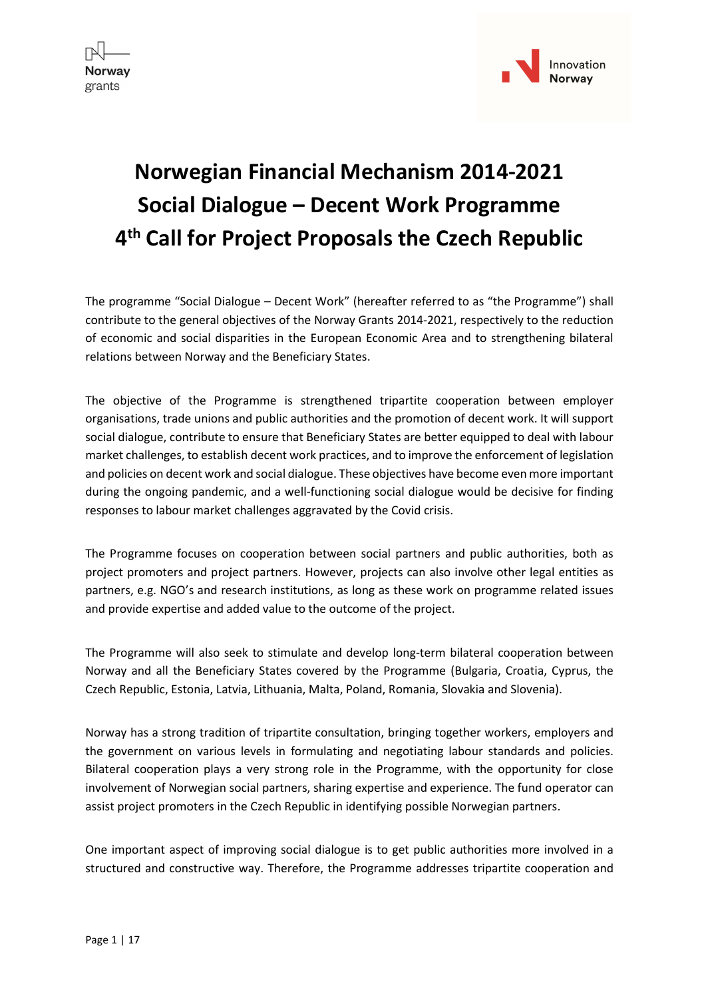



# Norwegian Financial Mechanism 2014-2021 Social Dialogue – Decent Work Programme 4 th Call for Project Proposals the Czech Republic

The programme "Social Dialogue – Decent Work" (hereafter referred to as "the Programme") shall contribute to the general objectives of the Norway Grants 2014-2021, respectively to the reduction of economic and social disparities in the European Economic Area and to strengthening bilateral relations between Norway and the Beneficiary States.

The objective of the Programme is strengthened tripartite cooperation between employer organisations, trade unions and public authorities and the promotion of decent work. It will support social dialogue, contribute to ensure that Beneficiary States are better equipped to deal with labour market challenges, to establish decent work practices, and to improve the enforcement of legislation and policies on decent work and social dialogue. These objectives have become even more important during the ongoing pandemic, and a well-functioning social dialogue would be decisive for finding responses to labour market challenges aggravated by the Covid crisis.

The Programme focuses on cooperation between social partners and public authorities, both as project promoters and project partners. However, projects can also involve other legal entities as partners, e.g. NGO's and research institutions, as long as these work on programme related issues and provide expertise and added value to the outcome of the project.

The Programme will also seek to stimulate and develop long-term bilateral cooperation between Norway and all the Beneficiary States covered by the Programme (Bulgaria, Croatia, Cyprus, the Czech Republic, Estonia, Latvia, Lithuania, Malta, Poland, Romania, Slovakia and Slovenia).

Norway has a strong tradition of tripartite consultation, bringing together workers, employers and the government on various levels in formulating and negotiating labour standards and policies. Bilateral cooperation plays a very strong role in the Programme, with the opportunity for close involvement of Norwegian social partners, sharing expertise and experience. The fund operator can assist project promoters in the Czech Republic in identifying possible Norwegian partners.

One important aspect of improving social dialogue is to get public authorities more involved in a structured and constructive way. Therefore, the Programme addresses tripartite cooperation and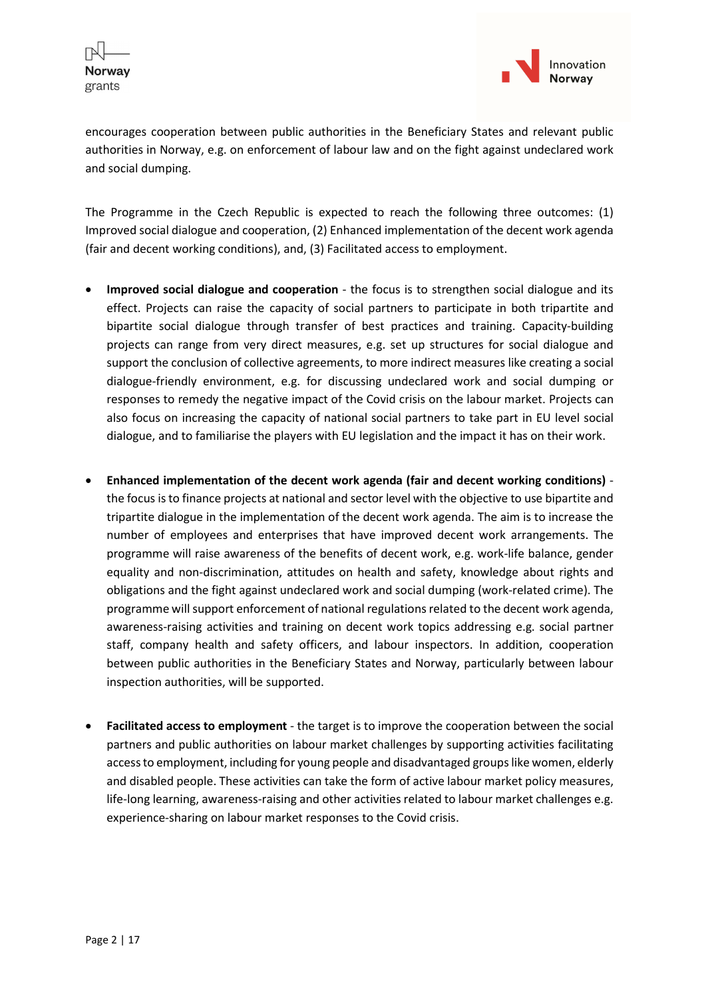

encourages cooperation between public authorities in the Beneficiary States and relevant public authorities in Norway, e.g. on enforcement of labour law and on the fight against undeclared work and social dumping.

The Programme in the Czech Republic is expected to reach the following three outcomes: (1) Improved social dialogue and cooperation, (2) Enhanced implementation of the decent work agenda (fair and decent working conditions), and, (3) Facilitated access to employment.

- Improved social dialogue and cooperation the focus is to strengthen social dialogue and its effect. Projects can raise the capacity of social partners to participate in both tripartite and bipartite social dialogue through transfer of best practices and training. Capacity-building projects can range from very direct measures, e.g. set up structures for social dialogue and support the conclusion of collective agreements, to more indirect measures like creating a social dialogue-friendly environment, e.g. for discussing undeclared work and social dumping or responses to remedy the negative impact of the Covid crisis on the labour market. Projects can also focus on increasing the capacity of national social partners to take part in EU level social dialogue, and to familiarise the players with EU legislation and the impact it has on their work.
- Enhanced implementation of the decent work agenda (fair and decent working conditions) the focus is to finance projects at national and sector level with the objective to use bipartite and tripartite dialogue in the implementation of the decent work agenda. The aim is to increase the number of employees and enterprises that have improved decent work arrangements. The programme will raise awareness of the benefits of decent work, e.g. work-life balance, gender equality and non-discrimination, attitudes on health and safety, knowledge about rights and obligations and the fight against undeclared work and social dumping (work-related crime). The programme will support enforcement of national regulations related to the decent work agenda, awareness-raising activities and training on decent work topics addressing e.g. social partner staff, company health and safety officers, and labour inspectors. In addition, cooperation between public authorities in the Beneficiary States and Norway, particularly between labour inspection authorities, will be supported.
- Facilitated access to employment the target is to improve the cooperation between the social partners and public authorities on labour market challenges by supporting activities facilitating access to employment, including for young people and disadvantaged groups like women, elderly and disabled people. These activities can take the form of active labour market policy measures, life-long learning, awareness-raising and other activities related to labour market challenges e.g. experience-sharing on labour market responses to the Covid crisis.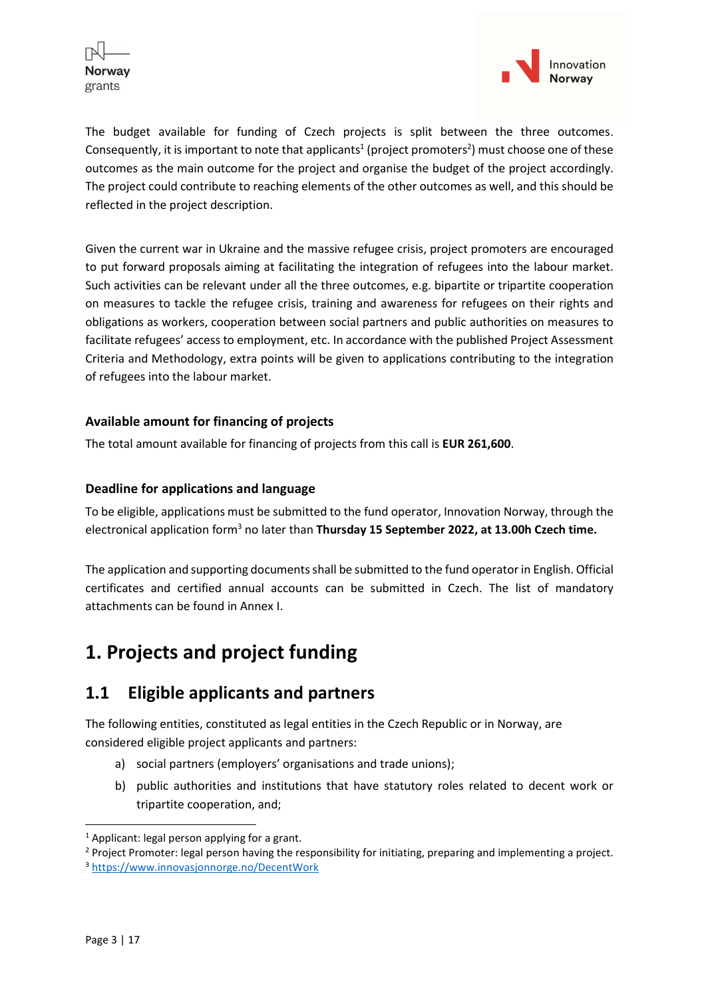



The budget available for funding of Czech projects is split between the three outcomes. Consequently, it is important to note that applicants<sup>1</sup> (project promoters<sup>2</sup>) must choose one of these outcomes as the main outcome for the project and organise the budget of the project accordingly. The project could contribute to reaching elements of the other outcomes as well, and this should be reflected in the project description.

Given the current war in Ukraine and the massive refugee crisis, project promoters are encouraged to put forward proposals aiming at facilitating the integration of refugees into the labour market. Such activities can be relevant under all the three outcomes, e.g. bipartite or tripartite cooperation on measures to tackle the refugee crisis, training and awareness for refugees on their rights and obligations as workers, cooperation between social partners and public authorities on measures to facilitate refugees' access to employment, etc. In accordance with the published Project Assessment Criteria and Methodology, extra points will be given to applications contributing to the integration of refugees into the labour market.

### Available amount for financing of projects

The total amount available for financing of projects from this call is EUR 261,600.

### Deadline for applications and language

To be eligible, applications must be submitted to the fund operator, Innovation Norway, through the electronical application form<sup>3</sup> no later than Thursday 15 September 2022, at 13.00h Czech time.

The application and supporting documents shall be submitted to the fund operator in English. Official certificates and certified annual accounts can be submitted in Czech. The list of mandatory attachments can be found in Annex I.

## 1. Projects and project funding

## 1.1 Eligible applicants and partners

The following entities, constituted as legal entities in the Czech Republic or in Norway, are considered eligible project applicants and partners:

- a) social partners (employers' organisations and trade unions);
- b) public authorities and institutions that have statutory roles related to decent work or tripartite cooperation, and;

<sup>&</sup>lt;sup>1</sup> Applicant: legal person applying for a grant.

<sup>&</sup>lt;sup>2</sup> Project Promoter: legal person having the responsibility for initiating, preparing and implementing a project.

<sup>3</sup> https://www.innovasjonnorge.no/DecentWork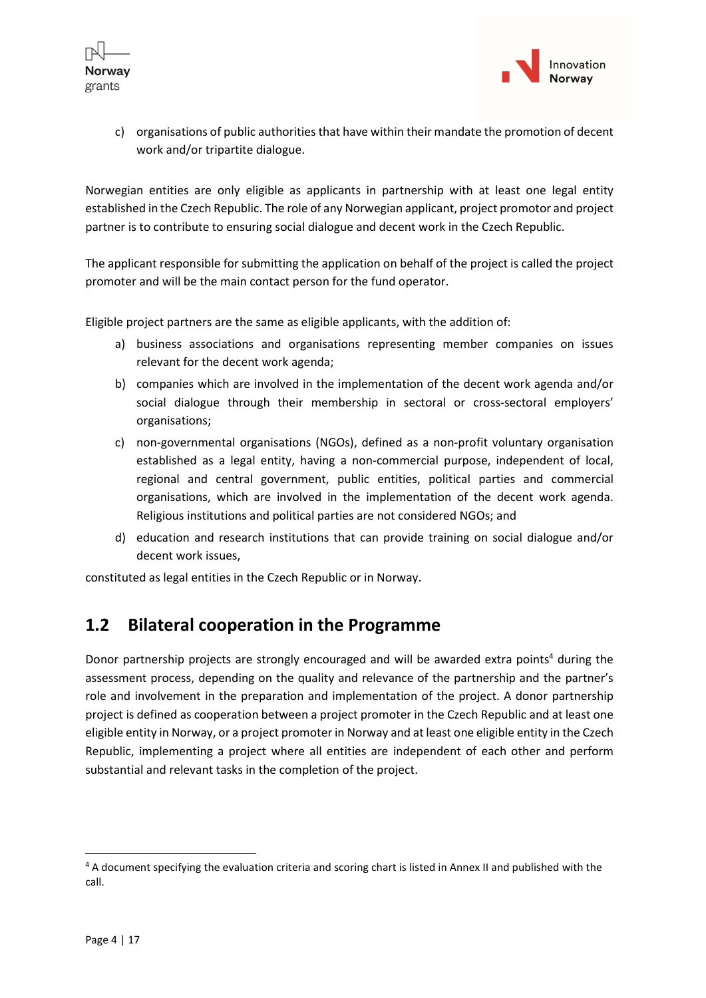



c) organisations of public authorities that have within their mandate the promotion of decent work and/or tripartite dialogue.

Norwegian entities are only eligible as applicants in partnership with at least one legal entity established in the Czech Republic. The role of any Norwegian applicant, project promotor and project partner is to contribute to ensuring social dialogue and decent work in the Czech Republic.

The applicant responsible for submitting the application on behalf of the project is called the project promoter and will be the main contact person for the fund operator.

Eligible project partners are the same as eligible applicants, with the addition of:

- a) business associations and organisations representing member companies on issues relevant for the decent work agenda;
- b) companies which are involved in the implementation of the decent work agenda and/or social dialogue through their membership in sectoral or cross-sectoral employers' organisations;
- c) non-governmental organisations (NGOs), defined as a non-profit voluntary organisation established as a legal entity, having a non-commercial purpose, independent of local, regional and central government, public entities, political parties and commercial organisations, which are involved in the implementation of the decent work agenda. Religious institutions and political parties are not considered NGOs; and
- d) education and research institutions that can provide training on social dialogue and/or decent work issues,

constituted as legal entities in the Czech Republic or in Norway.

### 1.2 Bilateral cooperation in the Programme

Donor partnership projects are strongly encouraged and will be awarded extra points<sup>4</sup> during the assessment process, depending on the quality and relevance of the partnership and the partner's role and involvement in the preparation and implementation of the project. A donor partnership project is defined as cooperation between a project promoter in the Czech Republic and at least one eligible entity in Norway, or a project promoter in Norway and at least one eligible entity in the Czech Republic, implementing a project where all entities are independent of each other and perform substantial and relevant tasks in the completion of the project.

<sup>&</sup>lt;sup>4</sup> A document specifying the evaluation criteria and scoring chart is listed in Annex II and published with the call.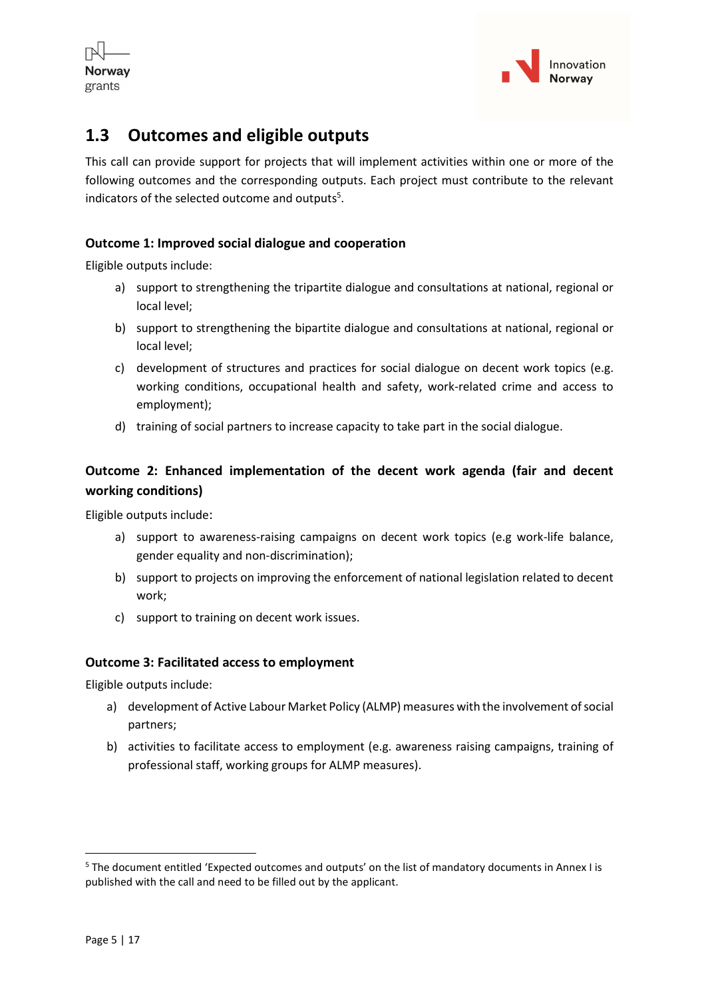



## 1.3 Outcomes and eligible outputs

This call can provide support for projects that will implement activities within one or more of the following outcomes and the corresponding outputs. Each project must contribute to the relevant indicators of the selected outcome and outputs<sup>5</sup>.

### Outcome 1: Improved social dialogue and cooperation

Eligible outputs include:

- a) support to strengthening the tripartite dialogue and consultations at national, regional or local level;
- b) support to strengthening the bipartite dialogue and consultations at national, regional or local level;
- c) development of structures and practices for social dialogue on decent work topics (e.g. working conditions, occupational health and safety, work-related crime and access to employment);
- d) training of social partners to increase capacity to take part in the social dialogue.

### Outcome 2: Enhanced implementation of the decent work agenda (fair and decent working conditions)

Eligible outputs include:

- a) support to awareness-raising campaigns on decent work topics (e.g work-life balance, gender equality and non-discrimination);
- b) support to projects on improving the enforcement of national legislation related to decent work;
- c) support to training on decent work issues.

#### Outcome 3: Facilitated access to employment

Eligible outputs include:

- a) development of Active Labour Market Policy (ALMP) measures with the involvement of social partners;
- b) activities to facilitate access to employment (e.g. awareness raising campaigns, training of professional staff, working groups for ALMP measures).

<sup>&</sup>lt;sup>5</sup> The document entitled 'Expected outcomes and outputs' on the list of mandatory documents in Annex I is published with the call and need to be filled out by the applicant.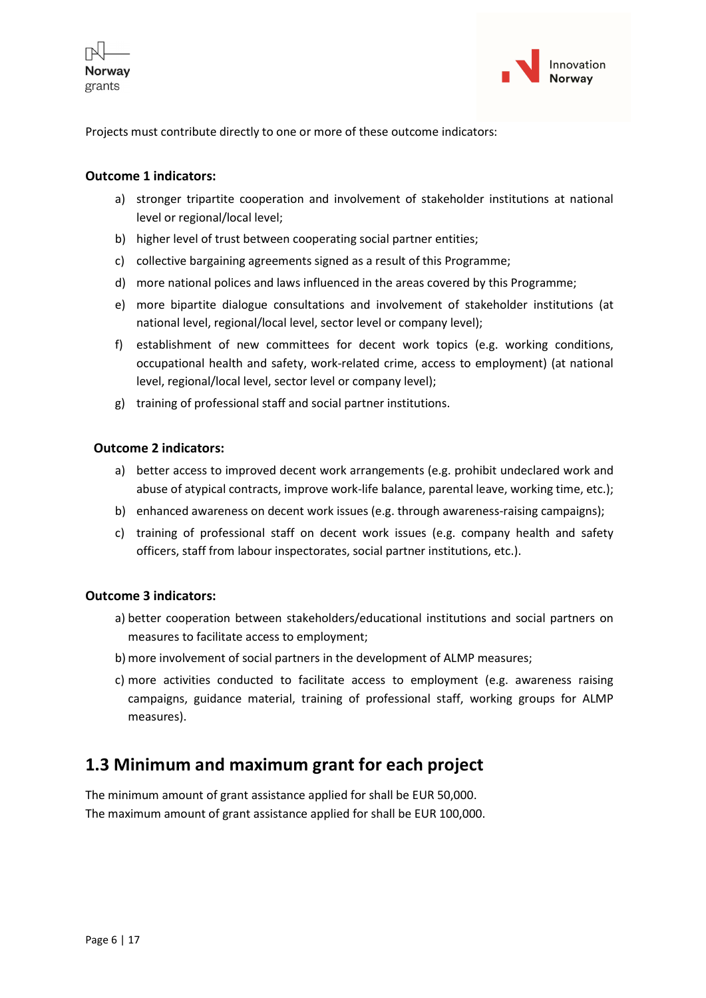



Projects must contribute directly to one or more of these outcome indicators:

#### Outcome 1 indicators:

- a) stronger tripartite cooperation and involvement of stakeholder institutions at national level or regional/local level;
- b) higher level of trust between cooperating social partner entities;
- c) collective bargaining agreements signed as a result of this Programme;
- d) more national polices and laws influenced in the areas covered by this Programme;
- e) more bipartite dialogue consultations and involvement of stakeholder institutions (at national level, regional/local level, sector level or company level);
- f) establishment of new committees for decent work topics (e.g. working conditions, occupational health and safety, work-related crime, access to employment) (at national level, regional/local level, sector level or company level);
- g) training of professional staff and social partner institutions.

#### Outcome 2 indicators:

- a) better access to improved decent work arrangements (e.g. prohibit undeclared work and abuse of atypical contracts, improve work-life balance, parental leave, working time, etc.);
- b) enhanced awareness on decent work issues (e.g. through awareness-raising campaigns);
- c) training of professional staff on decent work issues (e.g. company health and safety officers, staff from labour inspectorates, social partner institutions, etc.).

#### Outcome 3 indicators:

- a) better cooperation between stakeholders/educational institutions and social partners on measures to facilitate access to employment;
- b) more involvement of social partners in the development of ALMP measures;
- c) more activities conducted to facilitate access to employment (e.g. awareness raising campaigns, guidance material, training of professional staff, working groups for ALMP measures).

## 1.3 Minimum and maximum grant for each project

The minimum amount of grant assistance applied for shall be EUR 50,000. The maximum amount of grant assistance applied for shall be EUR 100,000.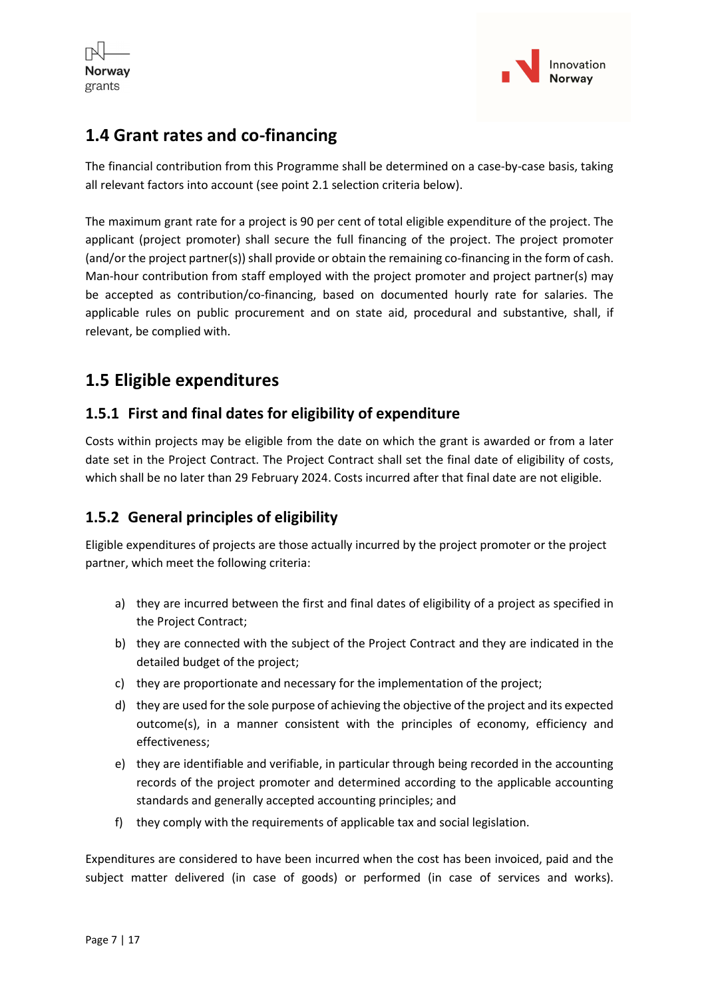



## 1.4 Grant rates and co-financing

The financial contribution from this Programme shall be determined on a case-by-case basis, taking all relevant factors into account (see point 2.1 selection criteria below).

The maximum grant rate for a project is 90 per cent of total eligible expenditure of the project. The applicant (project promoter) shall secure the full financing of the project. The project promoter (and/or the project partner(s)) shall provide or obtain the remaining co-financing in the form of cash. Man-hour contribution from staff employed with the project promoter and project partner(s) may be accepted as contribution/co-financing, based on documented hourly rate for salaries. The applicable rules on public procurement and on state aid, procedural and substantive, shall, if relevant, be complied with.

## 1.5 Eligible expenditures

### 1.5.1 First and final dates for eligibility of expenditure

Costs within projects may be eligible from the date on which the grant is awarded or from a later date set in the Project Contract. The Project Contract shall set the final date of eligibility of costs, which shall be no later than 29 February 2024. Costs incurred after that final date are not eligible.

### 1.5.2 General principles of eligibility

Eligible expenditures of projects are those actually incurred by the project promoter or the project partner, which meet the following criteria:

- a) they are incurred between the first and final dates of eligibility of a project as specified in the Project Contract;
- b) they are connected with the subject of the Project Contract and they are indicated in the detailed budget of the project;
- c) they are proportionate and necessary for the implementation of the project;
- d) they are used for the sole purpose of achieving the objective of the project and its expected outcome(s), in a manner consistent with the principles of economy, efficiency and effectiveness;
- e) they are identifiable and verifiable, in particular through being recorded in the accounting records of the project promoter and determined according to the applicable accounting standards and generally accepted accounting principles; and
- f) they comply with the requirements of applicable tax and social legislation.

Expenditures are considered to have been incurred when the cost has been invoiced, paid and the subject matter delivered (in case of goods) or performed (in case of services and works).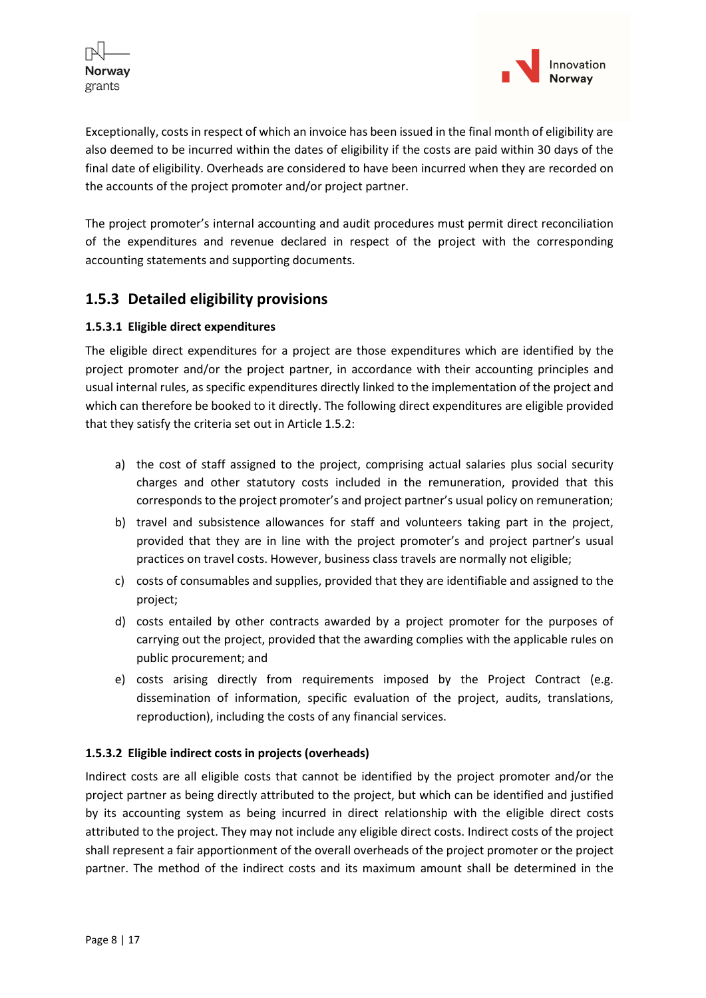



Exceptionally, costs in respect of which an invoice has been issued in the final month of eligibility are also deemed to be incurred within the dates of eligibility if the costs are paid within 30 days of the final date of eligibility. Overheads are considered to have been incurred when they are recorded on the accounts of the project promoter and/or project partner.

The project promoter's internal accounting and audit procedures must permit direct reconciliation of the expenditures and revenue declared in respect of the project with the corresponding accounting statements and supporting documents.

### 1.5.3 Detailed eligibility provisions

#### 1.5.3.1 Eligible direct expenditures

The eligible direct expenditures for a project are those expenditures which are identified by the project promoter and/or the project partner, in accordance with their accounting principles and usual internal rules, as specific expenditures directly linked to the implementation of the project and which can therefore be booked to it directly. The following direct expenditures are eligible provided that they satisfy the criteria set out in Article 1.5.2:

- a) the cost of staff assigned to the project, comprising actual salaries plus social security charges and other statutory costs included in the remuneration, provided that this corresponds to the project promoter's and project partner's usual policy on remuneration;
- b) travel and subsistence allowances for staff and volunteers taking part in the project, provided that they are in line with the project promoter's and project partner's usual practices on travel costs. However, business class travels are normally not eligible;
- c) costs of consumables and supplies, provided that they are identifiable and assigned to the project;
- d) costs entailed by other contracts awarded by a project promoter for the purposes of carrying out the project, provided that the awarding complies with the applicable rules on public procurement; and
- e) costs arising directly from requirements imposed by the Project Contract (e.g. dissemination of information, specific evaluation of the project, audits, translations, reproduction), including the costs of any financial services.

#### 1.5.3.2 Eligible indirect costs in projects (overheads)

Indirect costs are all eligible costs that cannot be identified by the project promoter and/or the project partner as being directly attributed to the project, but which can be identified and justified by its accounting system as being incurred in direct relationship with the eligible direct costs attributed to the project. They may not include any eligible direct costs. Indirect costs of the project shall represent a fair apportionment of the overall overheads of the project promoter or the project partner. The method of the indirect costs and its maximum amount shall be determined in the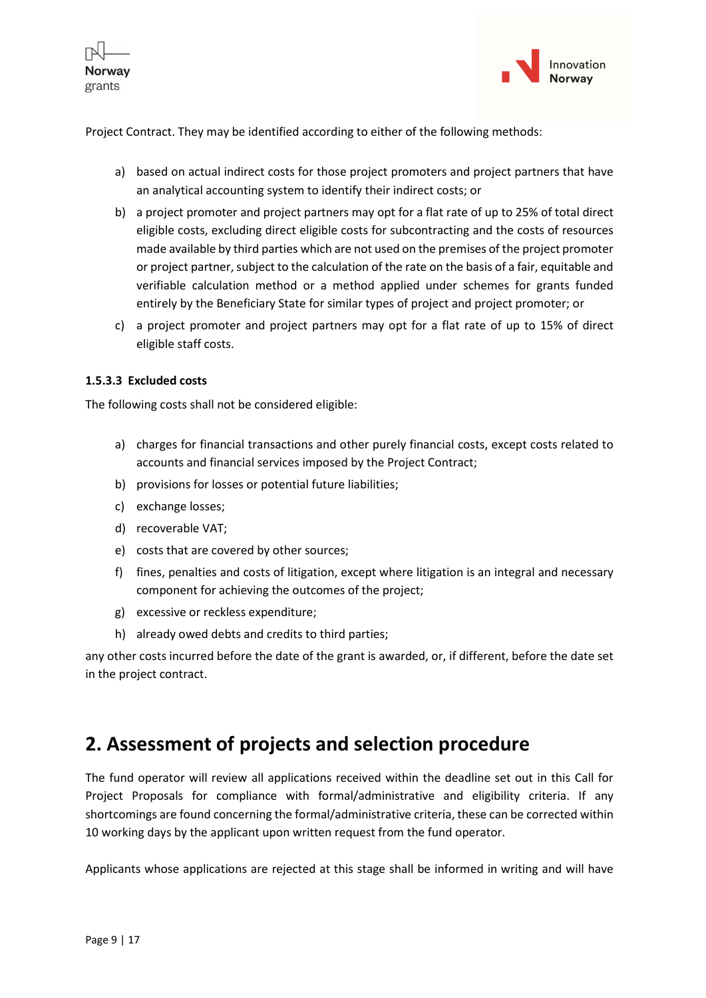



Project Contract. They may be identified according to either of the following methods:

- a) based on actual indirect costs for those project promoters and project partners that have an analytical accounting system to identify their indirect costs; or
- b) a project promoter and project partners may opt for a flat rate of up to 25% of total direct eligible costs, excluding direct eligible costs for subcontracting and the costs of resources made available by third parties which are not used on the premises of the project promoter or project partner, subject to the calculation of the rate on the basis of a fair, equitable and verifiable calculation method or a method applied under schemes for grants funded entirely by the Beneficiary State for similar types of project and project promoter; or
- c) a project promoter and project partners may opt for a flat rate of up to 15% of direct eligible staff costs.

#### 1.5.3.3 Excluded costs

The following costs shall not be considered eligible:

- a) charges for financial transactions and other purely financial costs, except costs related to accounts and financial services imposed by the Project Contract;
- b) provisions for losses or potential future liabilities;
- c) exchange losses;
- d) recoverable VAT;
- e) costs that are covered by other sources;
- f) fines, penalties and costs of litigation, except where litigation is an integral and necessary component for achieving the outcomes of the project;
- g) excessive or reckless expenditure;
- h) already owed debts and credits to third parties;

any other costs incurred before the date of the grant is awarded, or, if different, before the date set in the project contract.

## 2. Assessment of projects and selection procedure

The fund operator will review all applications received within the deadline set out in this Call for Project Proposals for compliance with formal/administrative and eligibility criteria. If any shortcomings are found concerning the formal/administrative criteria, these can be corrected within 10 working days by the applicant upon written request from the fund operator.

Applicants whose applications are rejected at this stage shall be informed in writing and will have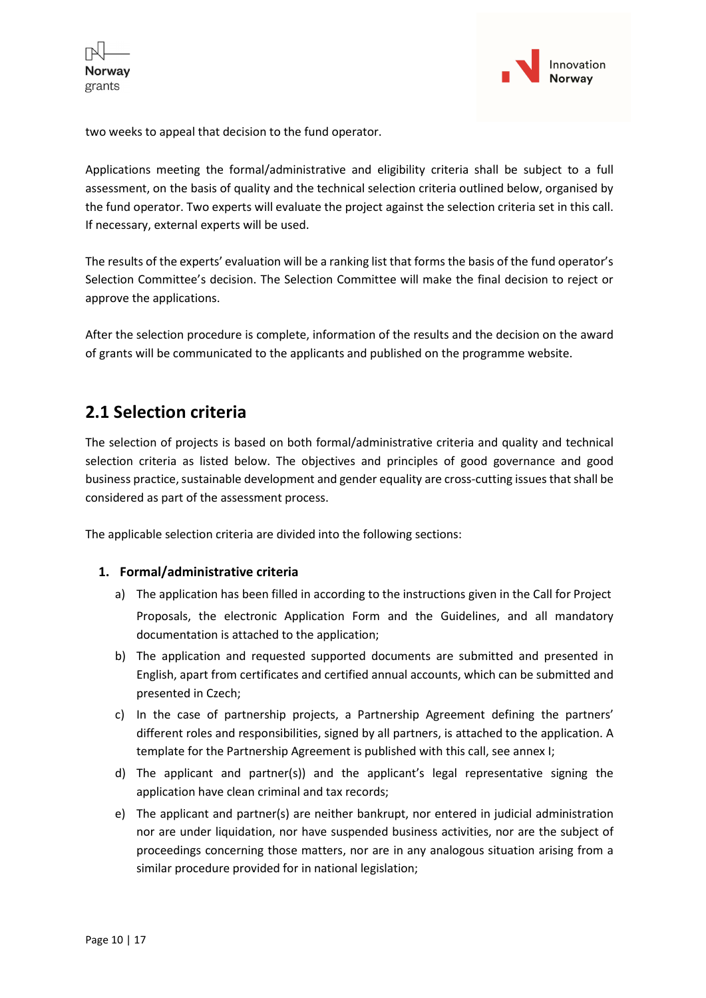

two weeks to appeal that decision to the fund operator.

Applications meeting the formal/administrative and eligibility criteria shall be subject to a full assessment, on the basis of quality and the technical selection criteria outlined below, organised by the fund operator. Two experts will evaluate the project against the selection criteria set in this call. If necessary, external experts will be used.

The results of the experts' evaluation will be a ranking list that forms the basis of the fund operator's Selection Committee's decision. The Selection Committee will make the final decision to reject or approve the applications.

After the selection procedure is complete, information of the results and the decision on the award of grants will be communicated to the applicants and published on the programme website.

## 2.1 Selection criteria

The selection of projects is based on both formal/administrative criteria and quality and technical selection criteria as listed below. The objectives and principles of good governance and good business practice, sustainable development and gender equality are cross-cutting issues that shall be considered as part of the assessment process.

The applicable selection criteria are divided into the following sections:

#### 1. Formal/administrative criteria

- a) The application has been filled in according to the instructions given in the Call for Project Proposals, the electronic Application Form and the Guidelines, and all mandatory documentation is attached to the application;
- b) The application and requested supported documents are submitted and presented in English, apart from certificates and certified annual accounts, which can be submitted and presented in Czech;
- c) In the case of partnership projects, a Partnership Agreement defining the partners' different roles and responsibilities, signed by all partners, is attached to the application. A template for the Partnership Agreement is published with this call, see annex I;
- d) The applicant and partner(s)) and the applicant's legal representative signing the application have clean criminal and tax records;
- e) The applicant and partner(s) are neither bankrupt, nor entered in judicial administration nor are under liquidation, nor have suspended business activities, nor are the subject of proceedings concerning those matters, nor are in any analogous situation arising from a similar procedure provided for in national legislation;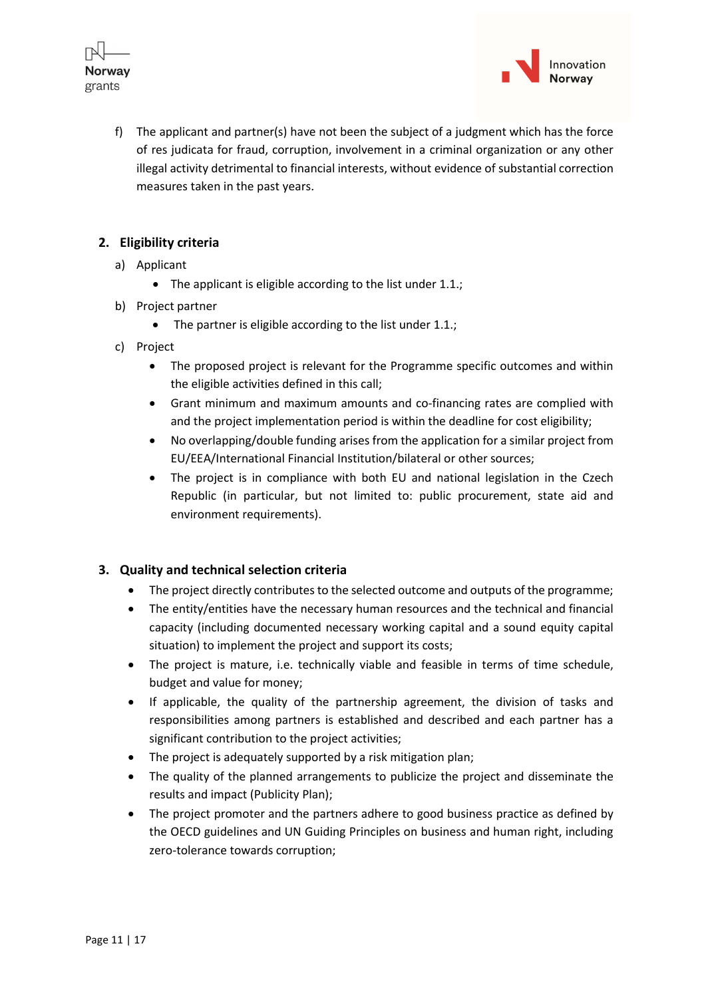



f) The applicant and partner(s) have not been the subject of a judgment which has the force of res judicata for fraud, corruption, involvement in a criminal organization or any other illegal activity detrimental to financial interests, without evidence of substantial correction measures taken in the past years.

### 2. Eligibility criteria

- a) Applicant
	- The applicant is eligible according to the list under 1.1.;
- b) Project partner
	- The partner is eligible according to the list under 1.1.;
- c) Project
	- The proposed project is relevant for the Programme specific outcomes and within the eligible activities defined in this call;
	- Grant minimum and maximum amounts and co-financing rates are complied with and the project implementation period is within the deadline for cost eligibility;
	- No overlapping/double funding arises from the application for a similar project from EU/EEA/International Financial Institution/bilateral or other sources;
	- The project is in compliance with both EU and national legislation in the Czech Republic (in particular, but not limited to: public procurement, state aid and environment requirements).

#### 3. Quality and technical selection criteria

- The project directly contributes to the selected outcome and outputs of the programme;
- The entity/entities have the necessary human resources and the technical and financial capacity (including documented necessary working capital and a sound equity capital situation) to implement the project and support its costs;
- The project is mature, i.e. technically viable and feasible in terms of time schedule, budget and value for money;
- If applicable, the quality of the partnership agreement, the division of tasks and responsibilities among partners is established and described and each partner has a significant contribution to the project activities;
- The project is adequately supported by a risk mitigation plan;
- The quality of the planned arrangements to publicize the project and disseminate the results and impact (Publicity Plan);
- The project promoter and the partners adhere to good business practice as defined by the OECD guidelines and UN Guiding Principles on business and human right, including zero-tolerance towards corruption;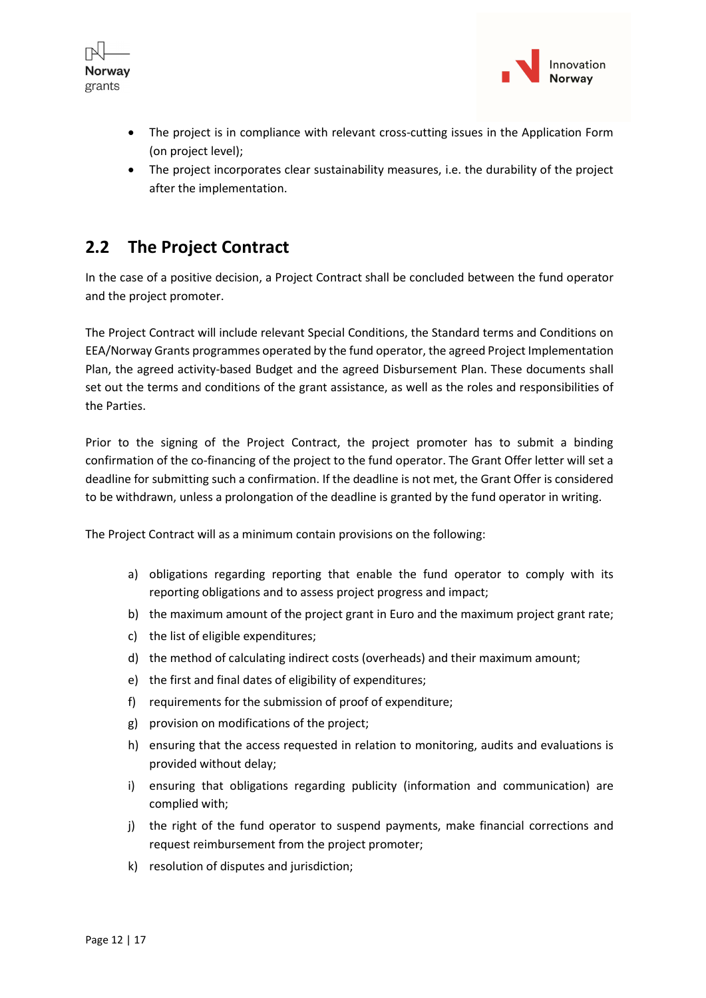



- The project is in compliance with relevant cross-cutting issues in the Application Form (on project level);
- The project incorporates clear sustainability measures, i.e. the durability of the project after the implementation.

## 2.2 The Project Contract

In the case of a positive decision, a Project Contract shall be concluded between the fund operator and the project promoter.

The Project Contract will include relevant Special Conditions, the Standard terms and Conditions on EEA/Norway Grants programmes operated by the fund operator, the agreed Project Implementation Plan, the agreed activity-based Budget and the agreed Disbursement Plan. These documents shall set out the terms and conditions of the grant assistance, as well as the roles and responsibilities of the Parties.

Prior to the signing of the Project Contract, the project promoter has to submit a binding confirmation of the co-financing of the project to the fund operator. The Grant Offer letter will set a deadline for submitting such a confirmation. If the deadline is not met, the Grant Offer is considered to be withdrawn, unless a prolongation of the deadline is granted by the fund operator in writing.

The Project Contract will as a minimum contain provisions on the following:

- a) obligations regarding reporting that enable the fund operator to comply with its reporting obligations and to assess project progress and impact;
- b) the maximum amount of the project grant in Euro and the maximum project grant rate;
- c) the list of eligible expenditures;
- d) the method of calculating indirect costs (overheads) and their maximum amount;
- e) the first and final dates of eligibility of expenditures;
- f) requirements for the submission of proof of expenditure;
- g) provision on modifications of the project;
- h) ensuring that the access requested in relation to monitoring, audits and evaluations is provided without delay;
- i) ensuring that obligations regarding publicity (information and communication) are complied with;
- j) the right of the fund operator to suspend payments, make financial corrections and request reimbursement from the project promoter;
- k) resolution of disputes and jurisdiction;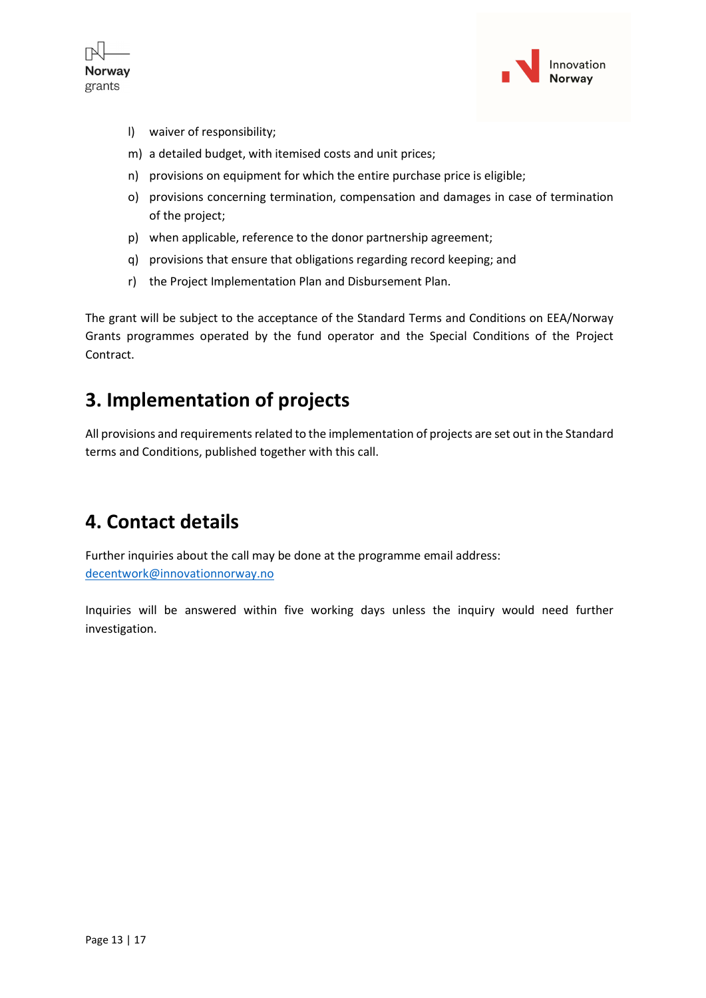



- l) waiver of responsibility;
- m) a detailed budget, with itemised costs and unit prices;
- n) provisions on equipment for which the entire purchase price is eligible;
- o) provisions concerning termination, compensation and damages in case of termination of the project;
- p) when applicable, reference to the donor partnership agreement;
- q) provisions that ensure that obligations regarding record keeping; and
- r) the Project Implementation Plan and Disbursement Plan.

The grant will be subject to the acceptance of the Standard Terms and Conditions on EEA/Norway Grants programmes operated by the fund operator and the Special Conditions of the Project Contract.

## 3. Implementation of projects

All provisions and requirements related to the implementation of projects are set out in the Standard terms and Conditions, published together with this call.

## 4. Contact details

Further inquiries about the call may be done at the programme email address: decentwork@innovationnorway.no

Inquiries will be answered within five working days unless the inquiry would need further investigation.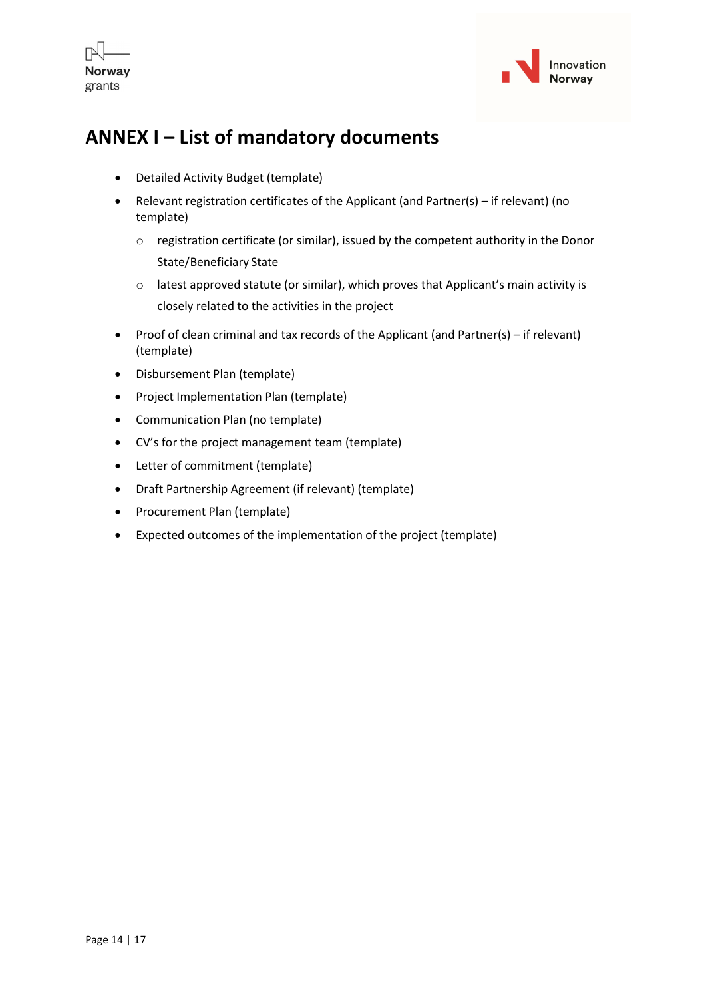



## ANNEX I – List of mandatory documents

- Detailed Activity Budget (template)
- Relevant registration certificates of the Applicant (and Partner(s) if relevant) (no template)
	- o registration certificate (or similar), issued by the competent authority in the Donor State/Beneficiary State
	- o latest approved statute (or similar), which proves that Applicant's main activity is closely related to the activities in the project
- Proof of clean criminal and tax records of the Applicant (and Partner(s) if relevant) (template)
- Disbursement Plan (template)
- Project Implementation Plan (template)
- Communication Plan (no template)
- CV's for the project management team (template)
- Letter of commitment (template)
- Draft Partnership Agreement (if relevant) (template)
- Procurement Plan (template)
- Expected outcomes of the implementation of the project (template)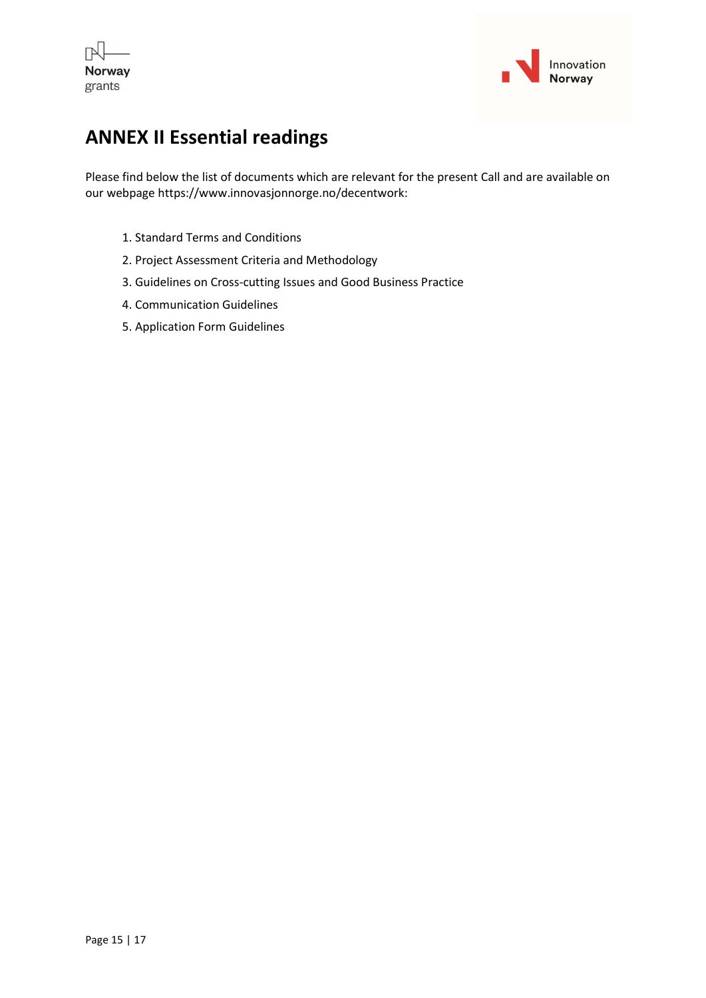



## ANNEX II Essential readings

Please find below the list of documents which are relevant for the present Call and are available on our webpage https://www.innovasjonnorge.no/decentwork:

- 1. Standard Terms and Conditions
- 2. Project Assessment Criteria and Methodology
- 3. Guidelines on Cross-cutting Issues and Good Business Practice
- 4. Communication Guidelines
- 5. Application Form Guidelines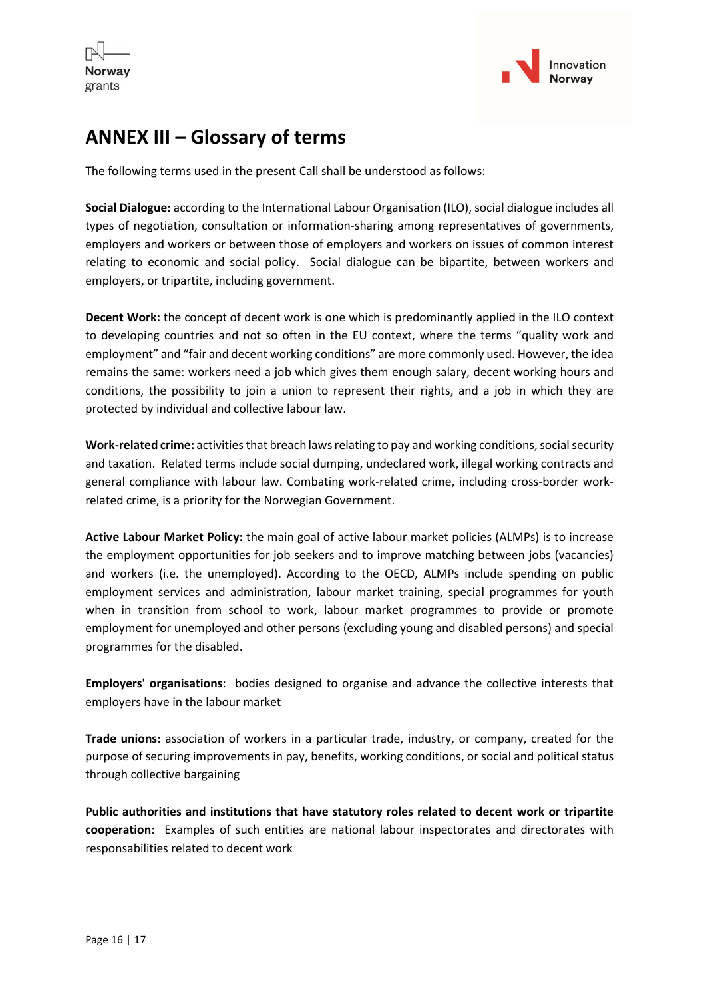



## ANNEX III – Glossary of terms

The following terms used in the present Call shall be understood as follows:

Social Dialogue: according to the International Labour Organisation (ILO), social dialogue includes all types of negotiation, consultation or information-sharing among representatives of governments, employers and workers or between those of employers and workers on issues of common interest relating to economic and social policy. Social dialogue can be bipartite, between workers and employers, or tripartite, including government.

Decent Work: the concept of decent work is one which is predominantly applied in the ILO context to developing countries and not so often in the EU context, where the terms "quality work and employment" and "fair and decent working conditions" are more commonly used. However, the idea remains the same: workers need a job which gives them enough salary, decent working hours and conditions, the possibility to join a union to represent their rights, and a job in which they are protected by individual and collective labour law.

Work-related crime: activities that breach laws relating to pay and working conditions, social security and taxation. Related terms include social dumping, undeclared work, illegal working contracts and general compliance with labour law. Combating work-related crime, including cross-border workrelated crime, is a priority for the Norwegian Government.

Active Labour Market Policy: the main goal of active labour market policies (ALMPs) is to increase the employment opportunities for job seekers and to improve matching between jobs (vacancies) and workers (i.e. the unemployed). According to the OECD, ALMPs include spending on public employment services and administration, labour market training, special programmes for youth when in transition from school to work, labour market programmes to provide or promote employment for unemployed and other persons (excluding young and disabled persons) and special programmes for the disabled.

Employers' organisations: bodies designed to organise and advance the collective interests that employers have in the labour market

Trade unions: association of workers in a particular trade, industry, or company, created for the purpose of securing improvements in pay, benefits, working conditions, or social and political status through collective bargaining

Public authorities and institutions that have statutory roles related to decent work or tripartite cooperation: Examples of such entities are national labour inspectorates and directorates with responsabilities related to decent work